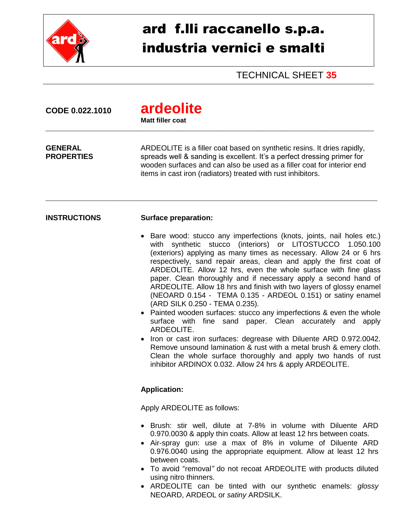

## ard f.lli raccanello s.p.a. industria vernici e smalti

TECHNICAL SHEET **35**

| CODE 0.022.1010                     | ardeolite<br><b>Matt filler coat</b>                                                                                                                                                                                                                                                                                                                                                                                                                                                                                                                                                                                                                                                                                                                                                                                                                                                                                                                                                                                                                 |  |
|-------------------------------------|------------------------------------------------------------------------------------------------------------------------------------------------------------------------------------------------------------------------------------------------------------------------------------------------------------------------------------------------------------------------------------------------------------------------------------------------------------------------------------------------------------------------------------------------------------------------------------------------------------------------------------------------------------------------------------------------------------------------------------------------------------------------------------------------------------------------------------------------------------------------------------------------------------------------------------------------------------------------------------------------------------------------------------------------------|--|
| <b>GENERAL</b><br><b>PROPERTIES</b> | ARDEOLITE is a filler coat based on synthetic resins. It dries rapidly,<br>spreads well & sanding is excellent. It's a perfect dressing primer for<br>wooden surfaces and can also be used as a filler coat for interior end<br>items in cast iron (radiators) treated with rust inhibitors.                                                                                                                                                                                                                                                                                                                                                                                                                                                                                                                                                                                                                                                                                                                                                         |  |
| <b>INSTRUCTIONS</b>                 | <b>Surface preparation:</b>                                                                                                                                                                                                                                                                                                                                                                                                                                                                                                                                                                                                                                                                                                                                                                                                                                                                                                                                                                                                                          |  |
|                                     | Bare wood: stucco any imperfections (knots, joints, nail holes etc.)<br>$\bullet$<br>with synthetic stucco (interiors) or LITOSTUCCO 1.050.100<br>(exteriors) applying as many times as necessary. Allow 24 or 6 hrs<br>respectively, sand repair areas, clean and apply the first coat of<br>ARDEOLITE. Allow 12 hrs, even the whole surface with fine glass<br>paper. Clean thoroughly and if necessary apply a second hand of<br>ARDEOLITE. Allow 18 hrs and finish with two layers of glossy enamel<br>(NEOARD 0.154 - TEMA 0.135 - ARDEOL 0.151) or satiny enamel<br>(ARD SILK 0.250 - TEMA 0.235).<br>• Painted wooden surfaces: stucco any imperfections & even the whole<br>surface with fine sand paper. Clean accurately and<br>apply<br>ARDEOLITE.<br>Iron or cast iron surfaces: degrease with Diluente ARD 0.972.0042.<br>$\bullet$<br>Remove unsound lamination & rust with a metal brush & emery cloth.<br>Clean the whole surface thoroughly and apply two hands of rust<br>inhibitor ARDINOX 0.032. Allow 24 hrs & apply ARDEOLITE. |  |
|                                     | <b>Application:</b>                                                                                                                                                                                                                                                                                                                                                                                                                                                                                                                                                                                                                                                                                                                                                                                                                                                                                                                                                                                                                                  |  |
|                                     | Apply ARDEOLITE as follows:                                                                                                                                                                                                                                                                                                                                                                                                                                                                                                                                                                                                                                                                                                                                                                                                                                                                                                                                                                                                                          |  |
|                                     | • Brush: stir well, dilute at 7-8% in volume with Diluente ARD<br>0.970.0030 & apply thin coats. Allow at least 12 hrs between coats.<br>Air-spray gun: use a max of 8% in volume of Diluente ARD<br>$\bullet$<br>0.976.0040 using the appropriate equipment. Allow at least 12 hrs<br>between coats.<br>To avoid "removal" do not recoat ARDEOLITE with products diluted<br>using nitro thinners.                                                                                                                                                                                                                                                                                                                                                                                                                                                                                                                                                                                                                                                   |  |

 ARDEOLITE can be tinted with our synthetic enamels: *glossy* NEOARD, ARDEOL or *satiny* ARDSILK.